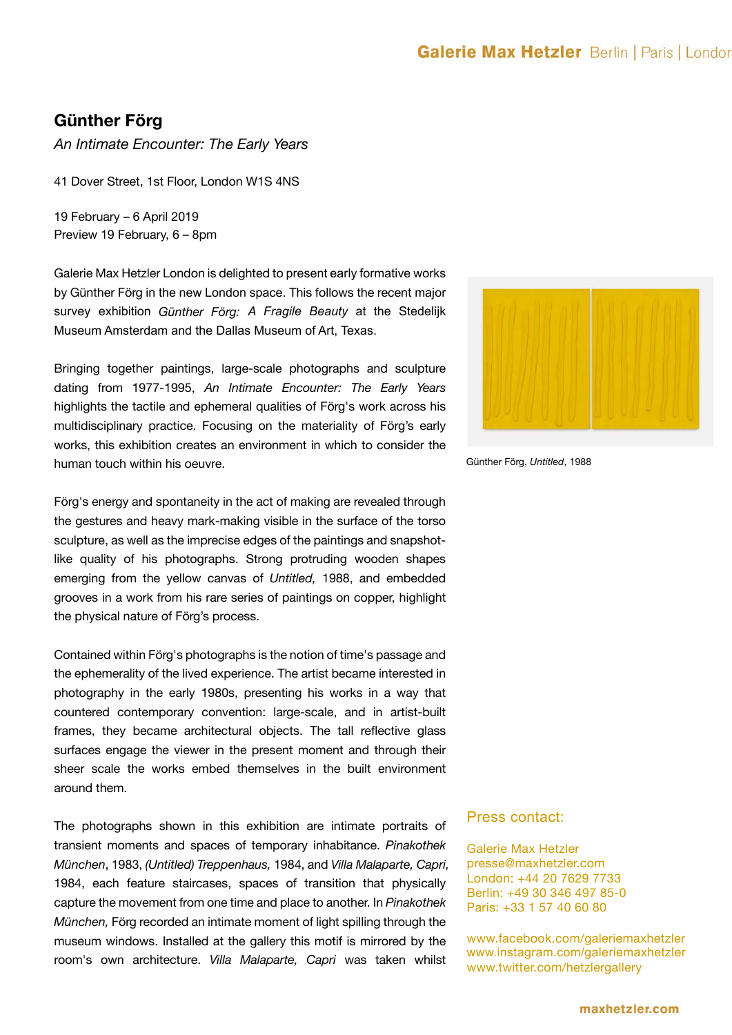## **Galerie Max Hetzler** Berlin | Paris | Londor

## **Günther Förg**

*An Intimate Encounter: The Early Years*

41 Dover Street, 1st Floor, London W1S 4NS

19 February – 6 April 2019 Preview 19 February, 6 – 8pm

Galerie Max Hetzler London is delighted to present early formative works by Günther Förg in the new London space. This follows the recent major survey exhibition *Günther Förg: A Fragile Beauty* at the Stedelijk Museum Amsterdam and the Dallas Museum of Art, Texas.

Bringing together paintings, large-scale photographs and sculpture dating from 1977-1995, *An Intimate Encounter: The Early Years* highlights the tactile and ephemeral qualities of Förg's work across his multidisciplinary practice. Focusing on the materiality of Förg's early works, this exhibition creates an environment in which to consider the human touch within his oeuvre.

Förg's energy and spontaneity in the act of making are revealed through the gestures and heavy mark-making visible in the surface of the torso sculpture, as well as the imprecise edges of the paintings and snapshotlike quality of his photographs. Strong protruding wooden shapes emerging from the yellow canvas of *Untitled,* 1988, and embedded grooves in a work from his rare series of paintings on copper, highlight the physical nature of Förg's process.

Contained within Förg's photographs is the notion of time's passage and the ephemerality of the lived experience. The artist became interested in photography in the early 1980s, presenting his works in a way that countered contemporary convention: large-scale, and in artist-built frames, they became architectural objects. The tall reflective glass surfaces engage the viewer in the present moment and through their sheer scale the works embed themselves in the built environment around them.

The photographs shown in this exhibition are intimate portraits of transient moments and spaces of temporary inhabitance. *Pinakothek München*, 1983, *(Untitled) Treppenhaus,* 1984, and *Villa Malaparte, Capri,*  1984, each feature staircases, spaces of transition that physically capture the movement from one time and place to another. In *Pinakothek München,* Förg recorded an intimate moment of light spilling through the museum windows. Installed at the gallery this motif is mirrored by the room's own architecture. *Villa Malaparte, Capri* was taken whilst



Günther Förg, *Untitled*, 1988

## Press contact:

Galerie Max Hetzler presse@maxhetzler.com London: +44 20 7629 7733 Berlin: +49 30 346 497 85-0 Paris: +33 1 57 40 60 80

www.facebook.com/galeriemaxhetzler www.instagram.com/galeriemaxhetzler www.twitter.com/hetzlergallery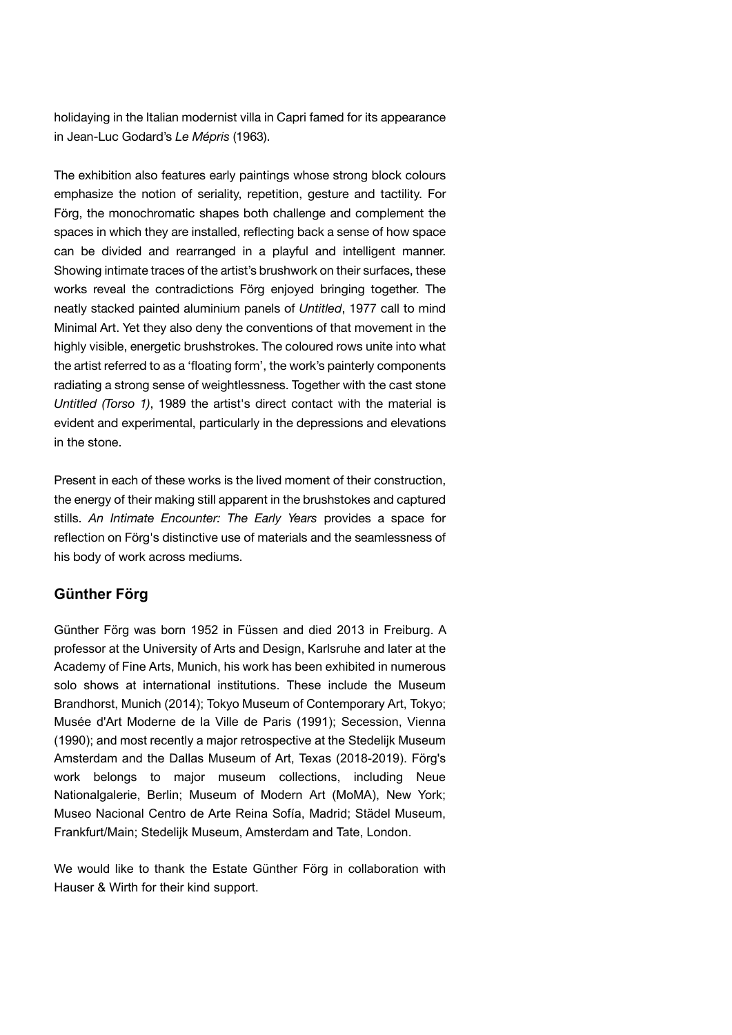holidaying in the Italian modernist villa in Capri famed for its appearance in Jean-Luc Godard's *Le Mépris* (1963).

The exhibition also features early paintings whose strong block colours emphasize the notion of seriality, repetition, gesture and tactility. For Förg, the monochromatic shapes both challenge and complement the spaces in which they are installed, reflecting back a sense of how space can be divided and rearranged in a playful and intelligent manner. Showing intimate traces of the artist's brushwork on their surfaces, these works reveal the contradictions Förg enjoyed bringing together. The neatly stacked painted aluminium panels of *Untitled*, 1977 call to mind Minimal Art. Yet they also deny the conventions of that movement in the highly visible, energetic brushstrokes. The coloured rows unite into what the artist referred to as a 'floating form', the work's painterly components radiating a strong sense of weightlessness. Together with the cast stone *Untitled (Torso 1)*, 1989 the artist's direct contact with the material is evident and experimental, particularly in the depressions and elevations in the stone.

Present in each of these works is the lived moment of their construction, the energy of their making still apparent in the brushstokes and captured stills. *An Intimate Encounter: The Early Years* provides a space for reflection on Förg's distinctive use of materials and the seamlessness of his body of work across mediums.

## **Günther Förg**

Günther Förg was born 1952 in Füssen and died 2013 in Freiburg. A professor at the University of Arts and Design, Karlsruhe and later at the Academy of Fine Arts, Munich, his work has been exhibited in numerous solo shows at international institutions. These include the Museum Brandhorst, Munich (2014); Tokyo Museum of Contemporary Art, Tokyo; Musée d'Art Moderne de la Ville de Paris (1991); Secession, Vienna (1990); and most recently a major retrospective at the Stedelijk Museum Amsterdam and the Dallas Museum of Art, Texas (2018-2019). Förg's work belongs to major museum collections, including Neue Nationalgalerie, Berlin; Museum of Modern Art (MoMA), New York; Museo Nacional Centro de Arte Reina Sofía, Madrid; Städel Museum, Frankfurt/Main; Stedelijk Museum, Amsterdam and Tate, London.

We would like to thank the Estate Günther Förg in collaboration with Hauser & Wirth for their kind support.